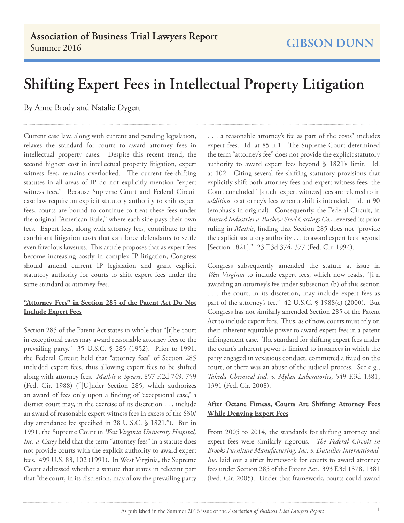## **Shifting Expert Fees in Intellectual Property Litigation**

By Anne Brody and Natalie Dygert

Current case law, along with current and pending legislation, relaxes the standard for courts to award attorney fees in intellectual property cases. Despite this recent trend, the second highest cost in intellectual property litigation, expert witness fees, remains overlooked. The current fee-shifting statutes in all areas of IP do not explicitly mention "expert witness fees." Because Supreme Court and Federal Circuit case law require an explicit statutory authority to shift expert fees, courts are bound to continue to treat these fees under the original "American Rule," where each side pays their own fees. Expert fees, along with attorney fees, contribute to the exorbitant litigation costs that can force defendants to settle even frivolous lawsuits. This article proposes that as expert fees become increasing costly in complex IP litigation, Congress should amend current IP legislation and grant explicit statutory authority for courts to shift expert fees under the same standard as attorney fees.

## **"Attorney Fees" in Section 285 of the Patent Act Do Not Include Expert Fees**

Section 285 of the Patent Act states in whole that "[t]he court in exceptional cases may award reasonable attorney fees to the prevailing party." 35 U.S.C. § 285 (1952). Prior to 1991, the Federal Circuit held that "attorney fees" of Section 285 included expert fees, thus allowing expert fees to be shifted along with attorney fees. *Mathis v. Spears*, 857 F.2d 749, 759 (Fed. Cir. 1988) ("[U]nder Section 285, which authorizes an award of fees only upon a finding of 'exceptional case,' a district court may, in the exercise of its discretion . . . include an award of reasonable expert witness fees in excess of the \$30/ day attendance fee specified in 28 U.S.C. § 1821."). But in 1991, the Supreme Court in *West Virginia University Hospital, Inc. v. Casey* held that the term "attorney fees" in a statute does not provide courts with the explicit authority to award expert fees. 499 U.S. 83, 102 (1991). In West Virginia, the Supreme Court addressed whether a statute that states in relevant part that "the court, in its discretion, may allow the prevailing party

. . . a reasonable attorney's fee as part of the costs" includes expert fees. Id. at 85 n.1. The Supreme Court determined the term "attorney's fee" does not provide the explicit statutory authority to award expert fees beyond § 1821's limit. Id. at 102. Citing several fee-shifting statutory provisions that explicitly shift both attorney fees and expert witness fees, the Court concluded "[s]uch [expert witness] fees are referred to in *addition* to attorney's fees when a shift is intended." Id. at 90 (emphasis in original). Consequently, the Federal Circuit, in *Amsted Industries v. Buckeye Steel Castings Co.*, reversed its prior ruling in *Mathis*, finding that Section 285 does not "provide the explicit statutory authority . . . to award expert fees beyond [Section 1821]." 23 F.3d 374, 377 (Fed. Cir. 1994).

Congress subsequently amended the statute at issue in *West Virginia* to include expert fees, which now reads, "[i]n awarding an attorney's fee under subsection (b) of this section . . . the court, in its discretion, may include expert fees as part of the attorney's fee." 42 U.S.C. § 1988(c) (2000). But Congress has not similarly amended Section 285 of the Patent Act to include expert fees. Thus, as of now, courts must rely on their inherent equitable power to award expert fees in a patent infringement case. The standard for shifting expert fees under the court's inherent power is limited to instances in which the party engaged in vexatious conduct, committed a fraud on the court, or there was an abuse of the judicial process. See e.g., *Takeda Chemical Ind. v. Mylan Laboratories*, 549 F.3d 1381, 1391 (Fed. Cir. 2008).

## **After Octane Fitness, Courts Are Shifting Attorney Fees While Denying Expert Fees**

From 2005 to 2014, the standards for shifting attorney and expert fees were similarly rigorous. *The Federal Circuit in Brooks Furniture Manufacturing. Inc. v. Dutailier International, Inc.* laid out a strict framework for courts to award attorney fees under Section 285 of the Patent Act. 393 F.3d 1378, 1381 (Fed. Cir. 2005). Under that framework, courts could award